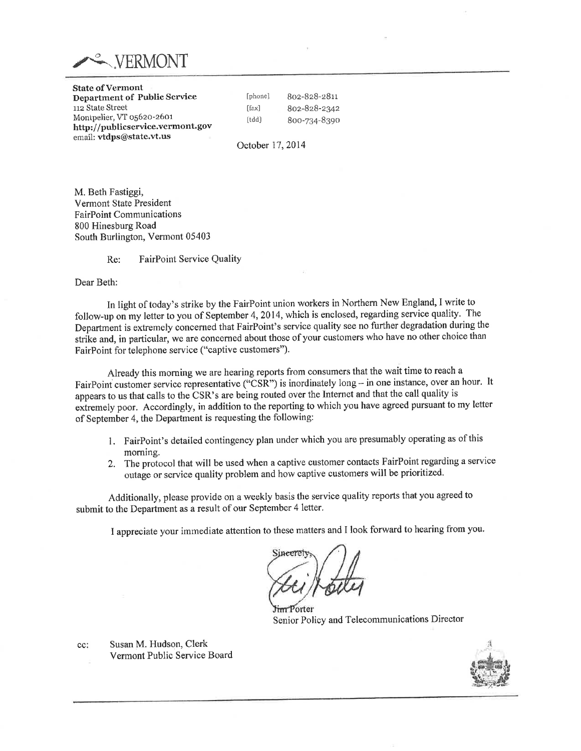

State of Vermont Department of Public Service 112 State Street Montpelier, VT o56zo-z6or http://publicservice.vermont.gov email: vtdps@state.vt.us

[phone] 8oz-Bz8-z8rr 8oz-828-2342 8oo-234-899o

October 17,2014

[fax] [tdd]

M. Beth Fastiggi, Vermont State President FairPoint Communications 800 Hinesburg Road South Burlington, Vermont 05403

> Re: FairPoint Service Quality

Dear Beth:

In light of today's strike by the FairPoint union workers in Northern New England, I write to follow-up on my letter to you of September 4, 2014, which is enclosed, regarding service quality. The Department is extremely concerned that FairPoint's service quality see no further degradation during the strike and, in particular, we are concemed about those of your customers who have no other choice than FairPoint for telephone service ("captive customers").

Already this morning we are hearing reports from consumers that the wait time to reach a FairPoint customer service representative ("CSR") is inordinately long - in one instance, over an hour. It appears to us that calls to the CSR's are being routed over the Internet and that the call quality is extremely poor. Accordingly, in addition to the reporting to which you have agreed pursuant to my letter of September 4, the Department is requesting the following:

- 1. FairPoint's detailed contingency plan under which you are presumably operating as of this morning,
- 2. The protocol that will be used when a captive customet contacts FairPoint regarding a service outage or service quality problem and how captive customers will be prioritized.

Additionally, please provide on a weekly basis the service quality reports that you agreed to submit to the Department as a result of our September 4 letter.

I appreciate your immediate attention to these matters and I look forward to hearing from you'

forter Senior Policy and Telccommunications Director



cc:

Susan M. Hudson, Clerk Vermont Public Service Board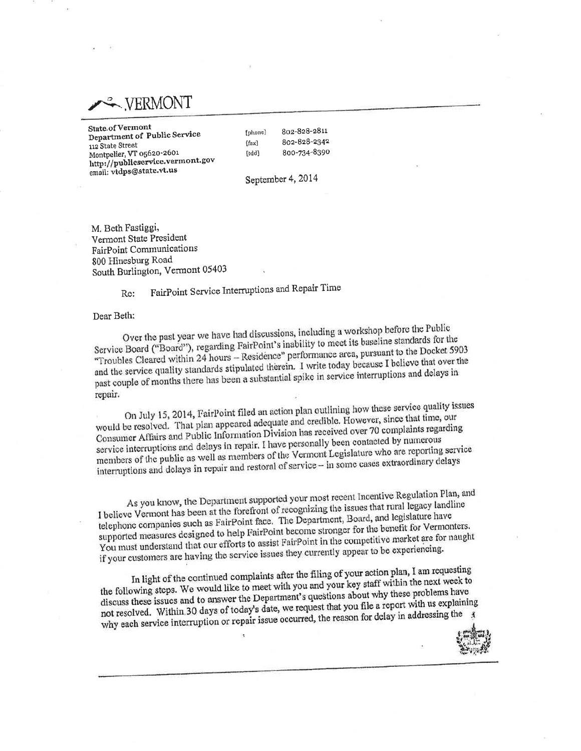**WERMONT** 

State.of Vermont Department of Public Service 112 State Street Montpelier, VT 05620-2601 http://publicservice.vermont.gov email: vtdps@state.vt.us

802-828-2811 [phone] 802-828-2342  $[$ fax $]$ 800-734-8390 [tdd]

September 4, 2014

M. Beth Fastiggi, Vermont State President FairPoint Communications 800 Hinesburg Road South Burlington, Vermont 05403

> FairPoint Service Interruptions and Repair Time Re:

Dear Beth:

Over the past year we have had discussions, including a workshop before the Public Service Board ("Board"), regarding FairPoint's inability to meet its baseline standards for the "Troubles Cleared within 24 hours - Residence" performance area, pursuant to the Docket 5903 and the service quality standards stipulated therein. I write today because I believe that over the past couple of months there has been a substantial spike in service interruptions and delays in repair.

On July 15, 2014, FairPoint filed an action plan outlining how these service quality issues would be resolved. That plan appeared adequate and credible. However, since that time, our Consumer Affairs and Public Information Division has received over 70 complaints regarding service interruptions and delays in repair. I have personally been contacted by numerous members of the public as well as members of the Vermont Legislature who are reporting service interruptions and delays in repair and restoral of service - in some cases extraordinary delays

As you know, the Department supported your most recent Incentive Regulation Plan, and I believe Vermont has been at the forefront of recognizing the issues that rural legacy landline telephone companies such as FairPoint face. The Department, Board, and legislature have supported measures designed to help FairPoint become stronger for the benefit for Vermonters. You must understand that our efforts to assist FairPoint in the competitive market are for naught if your customers are having the service issues they currently appear to be experiencing.

In light of the continued complaints after the filing of your action plan, I am requesting the following steps. We would like to meet with you and your key staff within the next week to discuss these issues and to answer the Department's questions about why these problems have not resolved. Within 30 days of today's date, we request that you file a report with us explaining why each service interruption or repair issue occurred, the reason for delay in addressing the